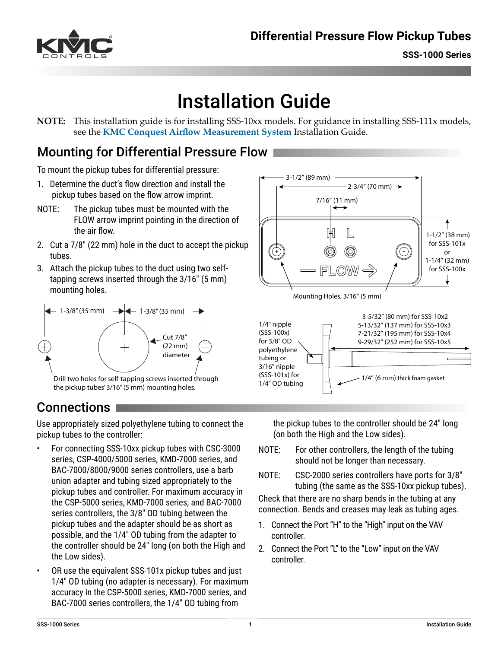

# Installation Guide

**NOTE:** This installation guide is for installing SSS-10xx models. For guidance in installing SSS-111x models, see the **[KMC Conquest Airflow Measurement System](https://www.kmccontrols.com/solutions/airflow-measurement/)** Installation Guide.

# Mounting for Differential Pressure Flow

To mount the pickup tubes for differential pressure:

- 1. Determine the duct's flow direction and install the pickup tubes based on the flow arrow imprint.
- NOTE: The pickup tubes must be mounted with the FLOW arrow imprint pointing in the direction of the air flow.
- 2. Cut a 7/8" (22 mm) hole in the duct to accept the pickup tubes.
- 3. Attach the pickup tubes to the duct using two selftapping screws inserted through the 3/16" (5 mm) mounting holes.



# Connections

Use appropriately sized polyethylene tubing to connect the pickup tubes to the controller:

- For connecting SSS-10xx pickup tubes with CSC-3000 series, CSP-4000/5000 series, KMD-7000 series, and BAC-7000/8000/9000 series controllers, use a barb union adapter and tubing sized appropriately to the pickup tubes and controller. For maximum accuracy in the CSP-5000 series, KMD-7000 series, and BAC-7000 series controllers, the 3/8" OD tubing between the pickup tubes and the adapter should be as short as possible, and the 1/4" OD tubing from the adapter to the controller should be 24" long (on both the High and the Low sides).
- OR use the equivalent SSS-101x pickup tubes and just 1/4" OD tubing (no adapter is necessary). For maximum accuracy in the CSP-5000 series, KMD-7000 series, and BAC-7000 series controllers, the 1/4" OD tubing from





the pickup tubes to the controller should be 24" long (on both the High and the Low sides).

- NOTE: For other controllers, the length of the tubing should not be longer than necessary.
- NOTE: CSC-2000 series controllers have ports for 3/8" tubing (the same as the SSS-10xx pickup tubes).

Check that there are no sharp bends in the tubing at any connection. Bends and creases may leak as tubing ages.

- 1. Connect the Port "H" to the "High" input on the VAV controller.
- 2. Connect the Port "L" to the "Low" input on the VAV controller.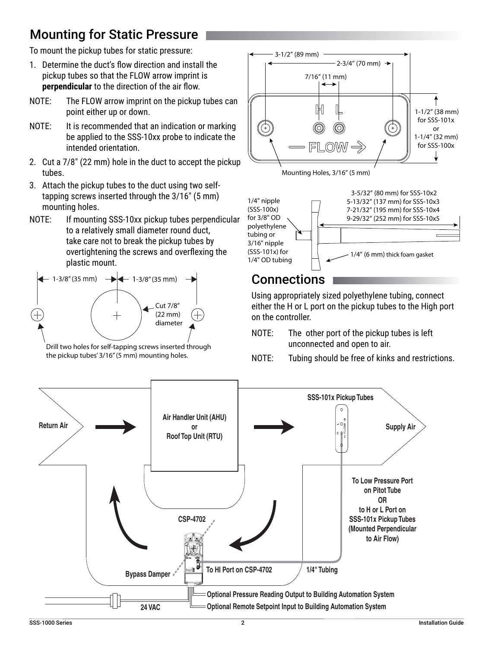# Mounting for Static Pressure

To mount the pickup tubes for static pressure:

- 1. Determine the duct's flow direction and install the pickup tubes so that the FLOW arrow imprint is **perpendicular** to the direction of the air flow.
- NOTE: The FLOW arrow imprint on the pickup tubes can point either up or down.
- NOTE: It is recommended that an indication or marking be applied to the SSS-10xx probe to indicate the intended orientation.
- 2. Cut a 7/8" (22 mm) hole in the duct to accept the pickup tubes.
- 3. Attach the pickup tubes to the duct using two selftapping screws inserted through the 3/16" (5 mm) mounting holes.
- NOTE: If mounting SSS-10xx pickup tubes perpendicular to a relatively small diameter round duct, take care not to break the pickup tubes by overtightening the screws and overflexing the plastic mount.



Drill two holes for self-tapping screws inserted through the pickup tubes' 3/16" (5 mm) mounting holes.







#### **Connections**

Using appropriately sized polyethylene tubing, connect either the H or L port on the pickup tubes to the High port on the controller.

- NOTE: The other port of the pickup tubes is left unconnected and open to air.
- NOTE: Tubing should be free of kinks and restrictions.